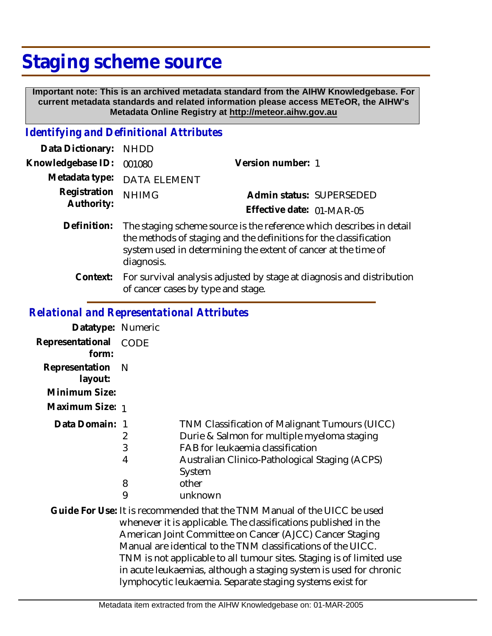## **Staging scheme source**

 **Important note: This is an archived metadata standard from the AIHW Knowledgebase. For current metadata standards and related information please access METeOR, the AIHW's Metadata Online Registry at http://meteor.aihw.gov.au**

## *Identifying and Definitional Attributes*

| Data Dictionary:           | <b>NHDD</b>                                                                                                                                                                                                               |                                                                       |
|----------------------------|---------------------------------------------------------------------------------------------------------------------------------------------------------------------------------------------------------------------------|-----------------------------------------------------------------------|
| Knowledgebase ID:          | 001080                                                                                                                                                                                                                    | Version number: 1                                                     |
| Metadata type:             | <b>DATA ELEMENT</b>                                                                                                                                                                                                       |                                                                       |
| Registration<br>Authority: | <b>NHIMG</b>                                                                                                                                                                                                              | Admin status: SUPERSEDED                                              |
|                            |                                                                                                                                                                                                                           | Effective date: 01-MAR-05                                             |
| Definition:                | The staging scheme source is the reference which describes in detail<br>the methods of staging and the definitions for the classification<br>system used in determining the extent of cancer at the time of<br>diagnosis. |                                                                       |
| Context:                   |                                                                                                                                                                                                                           | For survival analysis adjusted by stage at diagnosis and distribution |

of cancer cases by type and stage.

## *Relational and Representational Attributes*

| Datatype: Numeric                                             |                       |                                                                                                                                                                                                                                                                                                                                                                                                                                                                                    |
|---------------------------------------------------------------|-----------------------|------------------------------------------------------------------------------------------------------------------------------------------------------------------------------------------------------------------------------------------------------------------------------------------------------------------------------------------------------------------------------------------------------------------------------------------------------------------------------------|
| Representational CODE<br>form:                                |                       |                                                                                                                                                                                                                                                                                                                                                                                                                                                                                    |
| Representation<br>layout:<br>Minimum Size:<br>Maximum Size: 1 | <sup>N</sup>          |                                                                                                                                                                                                                                                                                                                                                                                                                                                                                    |
| Data Domain: 1                                                | 2<br>3<br>4<br>8<br>9 | TNM Classification of Malignant Tumours (UICC)<br>Durie & Salmon for multiple myeloma staging<br>FAB for leukaemia classification<br>Australian Clinico-Pathological Staging (ACPS)<br>System<br>other<br>unknown                                                                                                                                                                                                                                                                  |
|                                                               |                       | Guide For Use: It is recommended that the TNM Manual of the UICC be used<br>whenever it is applicable. The classifications published in the<br>American Joint Committee on Cancer (AJCC) Cancer Staging<br>Manual are identical to the TNM classifications of the UICC.<br>TNM is not applicable to all tumour sites. Staging is of limited use<br>in acute leukaemias, although a staging system is used for chronic<br>lymphocytic leukaemia. Separate staging systems exist for |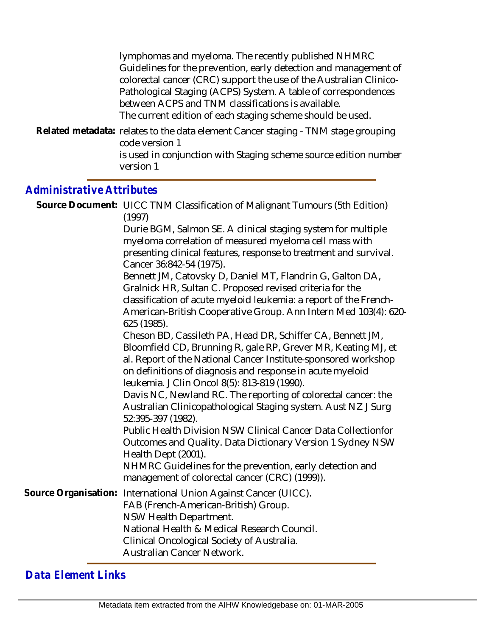| lymphomas and myeloma. The recently published NHMRC                                                 |
|-----------------------------------------------------------------------------------------------------|
| Guidelines for the prevention, early detection and management of                                    |
| colorectal cancer (CRC) support the use of the Australian Clinico-                                  |
| Pathological Staging (ACPS) System. A table of correspondences                                      |
| between ACPS and TNM classifications is available.                                                  |
| The current edition of each staging scheme should be used.                                          |
| Related metadata: relates to the data element Cancer staging - TNM stage grouping<br>code version 1 |
| is used in conjunction with Staging scheme source edition number<br>version 1                       |
|                                                                                                     |

## *Administrative Attributes*

|                      | Source Document: UICC TNM Classification of Malignant Tumours (5th Edition)<br>(1997)                                                                                                                                                                                                                                                                                                                                                                                                                   |  |
|----------------------|---------------------------------------------------------------------------------------------------------------------------------------------------------------------------------------------------------------------------------------------------------------------------------------------------------------------------------------------------------------------------------------------------------------------------------------------------------------------------------------------------------|--|
|                      | Durie BGM, Salmon SE. A clinical staging system for multiple<br>myeloma correlation of measured myeloma cell mass with<br>presenting clinical features, response to treatment and survival.<br>Cancer 36:842-54 (1975).<br>Bennett JM, Catovsky D, Daniel MT, Flandrin G, Galton DA,<br>Gralnick HR, Sultan C. Proposed revised criteria for the<br>classification of acute myeloid leukemia: a report of the French-<br>American-British Cooperative Group. Ann Intern Med 103(4): 620-<br>625 (1985). |  |
|                      | Cheson BD, Cassileth PA, Head DR, Schiffer CA, Bennett JM,<br>Bloomfield CD, Brunning R, gale RP, Grever MR, Keating MJ, et<br>al. Report of the National Cancer Institute-sponsored workshop<br>on definitions of diagnosis and response in acute myeloid<br>leukemia. J Clin Oncol 8(5): 813-819 (1990).<br>Davis NC, Newland RC. The reporting of colorectal cancer: the                                                                                                                             |  |
|                      | Australian Clinicopathological Staging system. Aust NZ J Surg<br>52:395-397 (1982).<br><b>Public Health Division NSW Clinical Cancer Data Collectionfor</b><br>Outcomes and Quality. Data Dictionary Version 1 Sydney NSW<br>Health Dept (2001).<br>NHMRC Guidelines for the prevention, early detection and<br>management of colorectal cancer (CRC) (1999)).                                                                                                                                          |  |
| Source Organisation: | International Union Against Cancer (UICC).<br>FAB (French-American-British) Group.<br>NSW Health Department.<br>National Health & Medical Research Council.<br>Clinical Oncological Society of Australia.<br>Australian Cancer Network.                                                                                                                                                                                                                                                                 |  |

*Data Element Links*